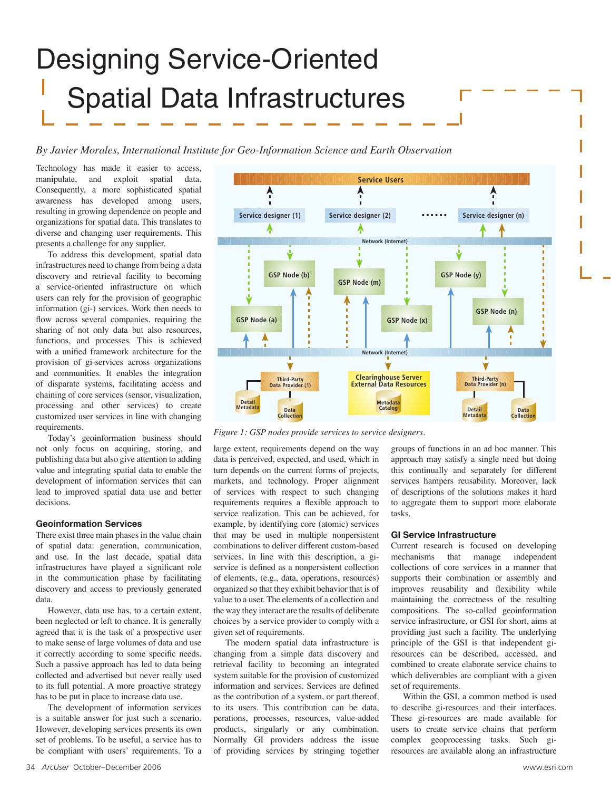# Designing Service-Oriented Spatial Data Infrastructures

*By Javier Morales, International Institute for Geo-Information Science and Earth Observation*

Technology has made it easier to access, manipulate, and exploit spatial data. Consequently, a more sophisticated spatial awareness has developed among users, resulting in growing dependence on people and organizations for spatial data. This translates to diverse and changing user requirements. This presents a challenge for any supplier.

To address this development, spatial data infrastructures need to change from being a data discovery and retrieval facility to becoming a service-oriented infrastructure on which users can rely for the provision of geographic information (gi-) services. Work then needs to flow across several companies, requiring the sharing of not only data but also resources, functions, and processes. This is achieved with a unified framework architecture for the provision of gi-services across organizations and communities. It enables the integration of disparate systems, facilitating access and chaining of core services (sensor, visualization, processing and other services) to create customized user services in line with changing requirements.

Today's geoinformation business should not only focus on acquiring, storing, and publishing data but also give attention to adding value and integrating spatial data to enable the development of information services that can lead to improved spatial data use and better decisions.

#### **Geoinformation Services**

There exist three main phases in the value chain of spatial data: generation, communication, and use. In the last decade, spatial data infrastructures have played a significant role in the communication phase by facilitating discovery and access to previously generated data.

However, data use has, to a certain extent, been neglected or left to chance. It is generally agreed that it is the task of a prospective user to make sense of large volumes of data and use it correctly according to some specific needs. Such a passive approach has led to data being collected and advertised but never really used to its full potential. A more proactive strategy has to be put in place to increase data use.

The development of information services is a suitable answer for just such a scenario. However, developing services presents its own set of problems. To be useful, a service has to be compliant with users' requirements. To a



*Figure 1: GSP nodes provide services to service designers.*

large extent, requirements depend on the way data is perceived, expected, and used, which in turn depends on the current forms of projects, markets, and technology. Proper alignment of services with respect to such changing requirements requires a flexible approach to service realization. This can be achieved, for example, by identifying core (atomic) services that may be used in multiple nonpersistent combinations to deliver different custom-based services. In line with this description, a giservice is defined as a nonpersistent collection of elements, (e.g., data, operations, resources) organized so that they exhibit behavior that is of value to a user. The elements of a collection and the way they interact are the results of deliberate choices by a service provider to comply with a given set of requirements.

The modern spatial data infrastructure is changing from a simple data discovery and retrieval facility to becoming an integrated system suitable for the provision of customized information and services. Services are defined as the contribution of a system, or part thereof, to its users. This contribution can be data, perations, processes, resources, value-added products, singularly or any combination. Normally GI providers address the issue of providing services by stringing together groups of functions in an ad hoc manner. This approach may satisfy a single need but doing this continually and separately for different services hampers reusability. Moreover, lack of descriptions of the solutions makes it hard to aggregate them to support more elaborate tasks.

## **GI Service Infrastructure**

Current research is focused on developing mechanisms that manage independent collections of core services in a manner that supports their combination or assembly and improves reusability and flexibility while maintaining the correctness of the resulting compositions. The so-called geoinformation service infrastructure, or GSI for short, aims at providing just such a facility. The underlying principle of the GSI is that independent giresources can be described, accessed, and combined to create elaborate service chains to which deliverables are compliant with a given set of requirements.

Within the GSI, a common method is used to describe gi-resources and their interfaces. These gi-resources are made available for users to create service chains that perform complex geoprocessing tasks. Such giresources are available along an infrastructure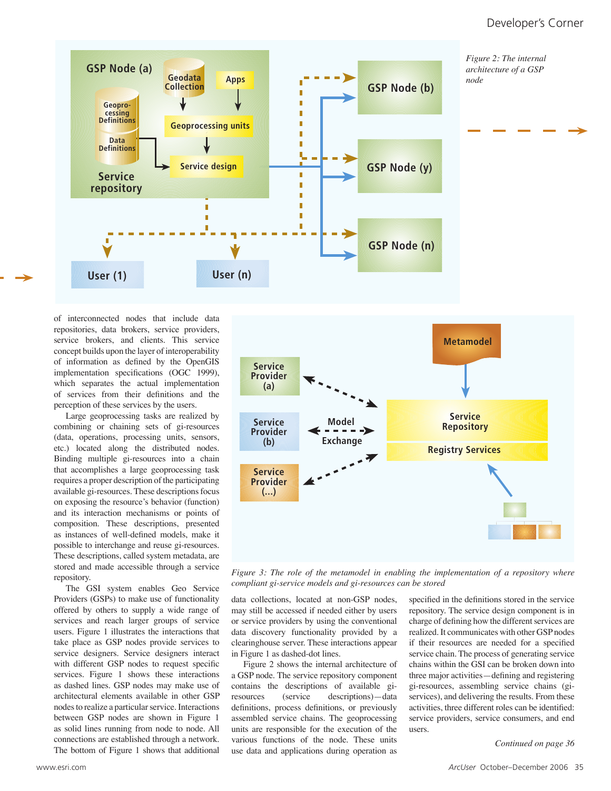

of interconnected nodes that include data repositories, data brokers, service providers, service brokers, and clients. This service concept builds upon the layer of interoperability of information as defined by the OpenGIS implementation specifications (OGC 1999), which separates the actual implementation of services from their definitions and the perception of these services by the users.

Large geoprocessing tasks are realized by combining or chaining sets of gi-resources (data, operations, processing units, sensors, etc.) located along the distributed nodes. Binding multiple gi-resources into a chain that accomplishes a large geoprocessing task requires a proper description of the participating available gi-resources. These descriptions focus on exposing the resource's behavior (function) and its interaction mechanisms or points of composition. These descriptions, presented as instances of well-defined models, make it possible to interchange and reuse gi-resources. These descriptions, called system metadata, are stored and made accessible through a service repository.

The GSI system enables Geo Service Providers (GSPs) to make use of functionality offered by others to supply a wide range of services and reach larger groups of service users. Figure 1 illustrates the interactions that take place as GSP nodes provide services to service designers. Service designers interact with different GSP nodes to request specific services. Figure 1 shows these interactions as dashed lines. GSP nodes may make use of architectural elements available in other GSP nodes to realize a particular service. Interactions between GSP nodes are shown in Figure 1 as solid lines running from node to node. All connections are established through a network.



*Figure 3: The role of the metamodel in enabling the implementation of a repository where compliant gi-service models and gi-resources can be stored*

data collections, located at non-GSP nodes, may still be accessed if needed either by users or service providers by using the conventional data discovery functionality provided by a clearinghouse server. These interactions appear in Figure 1 as dashed-dot lines.

The bottom of Figure 1 shows that additional *Continued on page 36* use data and applications during operation as Figure 2 shows the internal architecture of a GSP node. The service repository component contains the descriptions of available gi-(service descriptions)—data definitions, process definitions, or previously assembled service chains. The geoprocessing units are responsible for the execution of the various functions of the node. These units

specified in the definitions stored in the service repository. The service design component is in charge of defining how the different services are realized. It communicates with other GSP nodes if their resources are needed for a specified service chain. The process of generating service chains within the GSI can be broken down into three major activities—defining and registering gi-resources, assembling service chains (giservices), and delivering the results. From these activities, three different roles can be identified: service providers, service consumers, and end users.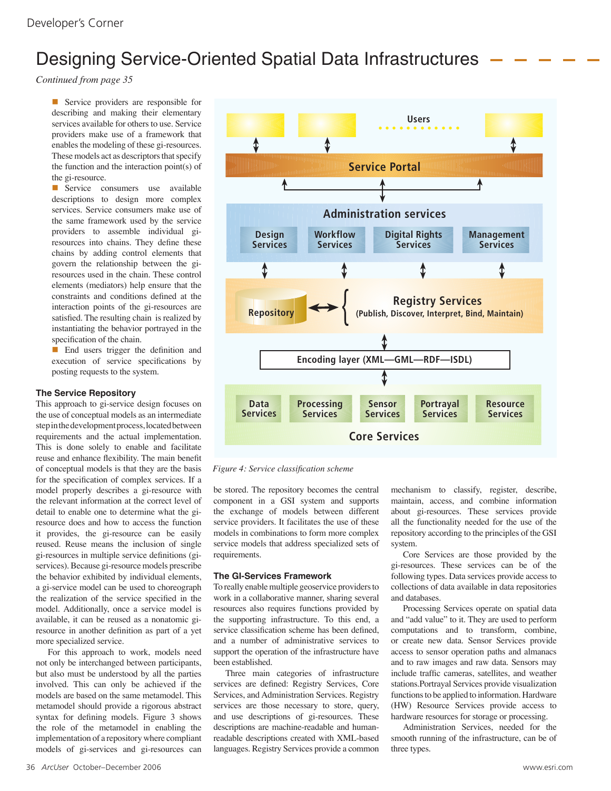# Designing Service-Oriented Spatial Data Infrastructures

*Continued from page 35*

Service providers are responsible for describing and making their elementary services available for others to use. Service providers make use of a framework that enables the modeling of these gi-resources. These models act as descriptors that specify the function and the interaction point(s) of the gi-resource.

Service consumers use available descriptions to design more complex services. Service consumers make use of the same framework used by the service providers to assemble individual giresources into chains. They define these chains by adding control elements that govern the relationship between the giresources used in the chain. These control elements (mediators) help ensure that the constraints and conditions defined at the interaction points of the gi-resources are satisfied. The resulting chain is realized by instantiating the behavior portrayed in the specification of the chain.

■ End users trigger the definition and execution of service specifications by posting requests to the system.

# **The Service Repository**

This approach to gi-service design focuses on the use of conceptual models as an intermediate step in the development process, located between requirements and the actual implementation. This is done solely to enable and facilitate reuse and enhance flexibility. The main benefit of conceptual models is that they are the basis for the specification of complex services. If a model properly describes a gi-resource with the relevant information at the correct level of detail to enable one to determine what the giresource does and how to access the function it provides, the gi-resource can be easily reused. Reuse means the inclusion of single gi-resources in multiple service definitions (giservices). Because gi-resource models prescribe the behavior exhibited by individual elements, a gi-service model can be used to choreograph the realization of the service specified in the model. Additionally, once a service model is available, it can be reused as a nonatomic giresource in another definition as part of a yet more specialized service.

For this approach to work, models need not only be interchanged between participants, but also must be understood by all the parties involved. This can only be achieved if the models are based on the same metamodel. This metamodel should provide a rigorous abstract syntax for defining models. Figure 3 shows the role of the metamodel in enabling the implementation of a repository where compliant models of gi-services and gi-resources can



*Figure 4: Service classification scheme*

be stored. The repository becomes the central component in a GSI system and supports the exchange of models between different service providers. It facilitates the use of these models in combinations to form more complex service models that address specialized sets of requirements.

## **The GI-Services Framework**

To really enable multiple geoservice providers to work in a collaborative manner, sharing several resources also requires functions provided by the supporting infrastructure. To this end, a service classification scheme has been defined, and a number of administrative services to support the operation of the infrastructure have been established.

Three main categories of infrastructure services are defined: Registry Services, Core Services, and Administration Services. Registry services are those necessary to store, query, and use descriptions of gi-resources. These descriptions are machine-readable and humanreadable descriptions created with XML-based languages. Registry Services provide a common mechanism to classify, register, describe, maintain, access, and combine information about gi-resources. These services provide all the functionality needed for the use of the repository according to the principles of the GSI system.

Core Services are those provided by the gi-resources. These services can be of the following types. Data services provide access to collections of data available in data repositories and databases.

Processing Services operate on spatial data and "add value" to it. They are used to perform computations and to transform, combine, or create new data. Sensor Services provide access to sensor operation paths and almanacs and to raw images and raw data. Sensors may include traffic cameras, satellites, and weather stations.Portrayal Services provide visualization functions to be applied to information. Hardware (HW) Resource Services provide access to hardware resources for storage or processing.

Administration Services, needed for the smooth running of the infrastructure, can be of three types.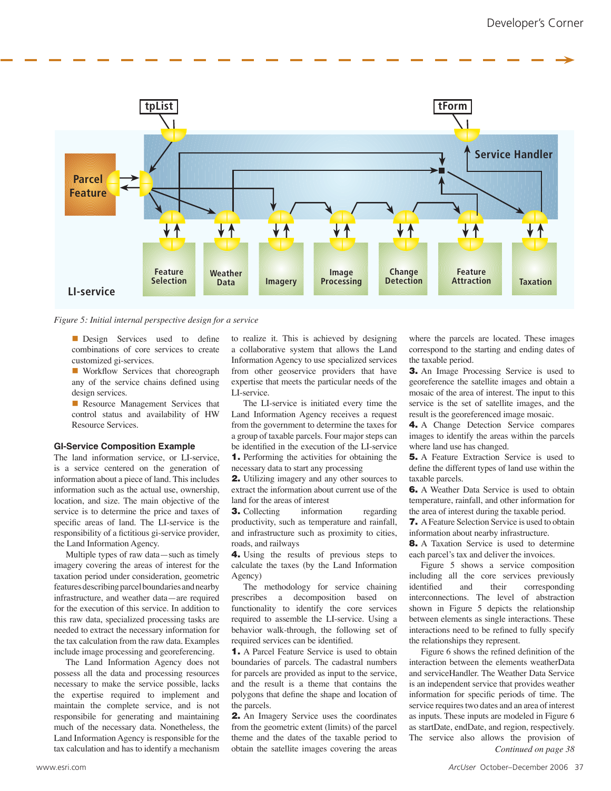

*Figure 5: Initial internal perspective design for a service*

**n** Design Services used to define combinations of core services to create customized gi-services.

**Norkflow Services that choreograph** any of the service chains defined using design services.

**n** Resource Management Services that control status and availability of HW Resource Services.

### **GI-Service Composition Example**

The land information service, or LI-service, is a service centered on the generation of information about a piece of land. This includes information such as the actual use, ownership, location, and size. The main objective of the service is to determine the price and taxes of specific areas of land. The LI-service is the responsibility of a fictitious gi-service provider, the Land Information Agency.

Multiple types of raw data—such as timely imagery covering the areas of interest for the taxation period under consideration, geometric features describing parcel boundaries and nearby infrastructure, and weather data—are required for the execution of this service. In addition to this raw data, specialized processing tasks are needed to extract the necessary information for the tax calculation from the raw data. Examples include image processing and georeferencing.

The Land Information Agency does not possess all the data and processing resources necessary to make the service possible, lacks the expertise required to implement and maintain the complete service, and is not responsibile for generating and maintaining much of the necessary data. Nonetheless, the Land Information Agency is responsible for the

to realize it. This is achieved by designing a collaborative system that allows the Land Information Agency to use specialized services from other geoservice providers that have expertise that meets the particular needs of the LI-service.

The LI-service is initiated every time the Land Information Agency receives a request from the government to determine the taxes for a group of taxable parcels. Four major steps can be identified in the execution of the LI-service 1. Performing the activities for obtaining the necessary data to start any processing

2. Utilizing imagery and any other sources to extract the information about current use of the land for the areas of interest

**3.** Collecting information regarding productivity, such as temperature and rainfall, and infrastructure such as proximity to cities, roads, and railways

4. Using the results of previous steps to calculate the taxes (by the Land Information Agency)

The methodology for service chaining prescribes a decomposition based on functionality to identify the core services required to assemble the LI-service. Using a behavior walk-through, the following set of required services can be identified.

1. A Parcel Feature Service is used to obtain boundaries of parcels. The cadastral numbers for parcels are provided as input to the service, and the result is a theme that contains the polygons that define the shape and location of the parcels.

tax calculation and has to identify a mechanism obtain the satellite images covering the areas *Continued on page 38* 2. An Imagery Service uses the coordinates from the geometric extent (limits) of the parcel theme and the dates of the taxable period to

where the parcels are located. These images correspond to the starting and ending dates of the taxable period.

3. An Image Processing Service is used to georeference the satellite images and obtain a mosaic of the area of interest. The input to this service is the set of satellite images, and the result is the georeferenced image mosaic.

4. A Change Detection Service compares images to identify the areas within the parcels where land use has changed.

5. A Feature Extraction Service is used to define the different types of land use within the taxable parcels.

6. A Weather Data Service is used to obtain temperature, rainfall, and other information for the area of interest during the taxable period.

7. A Feature Selection Service is used to obtain information about nearby infrastructure.

**8.** A Taxation Service is used to determine each parcel's tax and deliver the invoices.

Figure 5 shows a service composition including all the core services previously<br>identified and their corresponding and their corresponding interconnections. The level of abstraction shown in Figure 5 depicts the relationship between elements as single interactions. These interactions need to be refined to fully specify the relationships they represent.

Figure 6 shows the refined definition of the interaction between the elements weatherData and serviceHandler. The Weather Data Service is an independent service that provides weather information for specific periods of time. The service requires two dates and an area of interest as inputs. These inputs are modeled in Figure 6 as startDate, endDate, and region, respectively. The service also allows the provision of